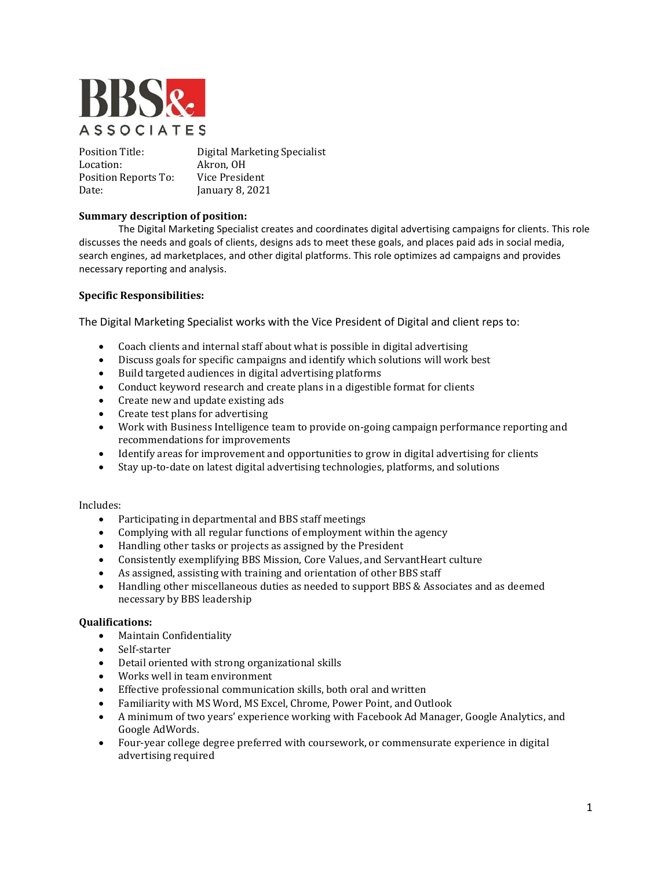

Position Title: Digital Marketing Specialist<br>
Location: Akron. OH Akron, OH<br>Vice President Position Reports To:<br>Date: January 8, 2021

# **Summary description of position:**

The Digital Marketing Specialist creates and coordinates digital advertising campaigns for clients. This role discusses the needs and goals of clients, designs ads to meet these goals, and places paid ads in social media, search engines, ad marketplaces, and other digital platforms. This role optimizes ad campaigns and provides necessary reporting and analysis.

# **Specific Responsibilities:**

The Digital Marketing Specialist works with the Vice President of Digital and client reps to:

- Coach clients and internal staff about what is possible in digital advertising<br>• Discuss goals for specific campaigns and identify which solutions will work
- Discuss goals for specific campaigns and identify which solutions will work best<br>• Build targeted audiences in digital advertising platforms
- Build targeted audiences in digital advertising platforms
- Conduct keyword research and create plans in a digestible format for clients
- Create new and update existing ads
- Create test plans for advertising<br>• Work with Business Intelligence
- Work with Business Intelligence team to provide on-going campaign performance reporting and recommendations for improvements
- Identify areas for improvement and opportunities to grow in digital advertising for clients
- Stay up-to-date on latest digital advertising technologies, platforms, and solutions

# Includes:<br>• F

- Participating in departmental and BBS staff meetings
- Complying with all regular functions of employment within the agency
- Handling other tasks or projects as assigned by the President
- Consistently exemplifying BBS Mission, Core Values, and ServantHeart culture
- As assigned, assisting with training and orientation of other BBS staff
- Handling other miscellaneous duties as needed to support BBS & Associates and as deemed necessary by BBS leadership

#### **Qualifications:**

- Maintain Confidentiality
- Self-starter
- Detail oriented with strong organizational skills
- Works well in team environment
- Effective professional communication skills, both oral and written
- Familiarity with MS Word, MS Excel, Chrome, Power Point, and Outlook<br>• A minimum of two years' experience working with Facebook Ad Manage
- A minimum of two years' experience working with Facebook Ad Manager, Google Analytics, and Google AdWords.
- Four-year college degree preferred with coursework, or commensurate experience in digital advertising required